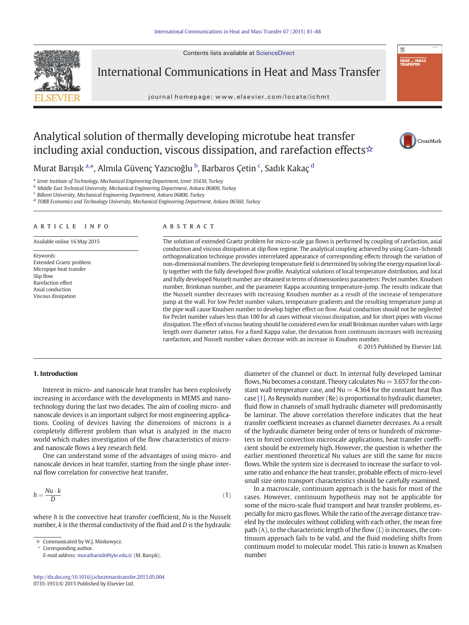Contents lists available at ScienceDirect



International Communications in Heat and Mass Transfer

journal homepage:<www.elsevier.com/locate/ichmt>



# Analytical solution of thermally developing microtube heat transfer including axial conduction, viscous dissipation, and rarefaction effects☆



Murat Barışık <sup>a,</sup>\*, Almıla Güvenç Yazıcıoğlu <sup>b</sup>, Barbaros Çetin <sup>c</sup>, Sadık Kakaç <sup>d</sup>

<sup>a</sup> Izmir Institute of Technology, Mechanical Engineering Department, Izmir 35430, Turkey

<sup>b</sup> Middle East Technical University, Mechanical Engineering Department, Ankara 06800, Turkey

<sup>c</sup> Bilkent University, Mechanical Engineering Department, Ankara 06800, Turkey

<sup>d</sup> TOBB Economics and Technology University, Mechanical Engineering Department, Ankara 06560, Turkey

#### article info abstract

Available online 16 May 2015

Keywords: Extended Graetz problem Micropipe heat transfer Slip flow Rarefaction effect Axial conduction Viscous dissipation

The solution of extended Graetz problem for micro-scale gas flows is performed by coupling of rarefaction, axial conduction and viscous dissipation at slip flow regime. The analytical coupling achieved by using Gram–Schmidt orthogonalization technique provides interrelated appearance of corresponding effects through the variation of non-dimensional numbers. The developing temperature field is determined by solving the energy equation locally together with the fully developed flow profile. Analytical solutions of local temperature distribution, and local and fully developed Nusselt number are obtained in terms of dimensionless parameters: Peclet number, Knudsen number, Brinkman number, and the parameter Kappa accounting temperature-jump. The results indicate that the Nusselt number decreases with increasing Knudsen number as a result of the increase of temperature jump at the wall. For low Peclet number values, temperature gradients and the resulting temperature jump at the pipe wall cause Knudsen number to develop higher effect on flow. Axial conduction should not be neglected for Peclet number values less than 100 for all cases without viscous dissipation, and for short pipes with viscous dissipation. The effect of viscous heating should be considered even for small Brinkman number values with large length over diameter ratios. For a fixed Kappa value, the deviation from continuum increases with increasing rarefaction, and Nusselt number values decrease with an increase in Knudsen number.

© 2015 Published by Elsevier Ltd.

# 1. Introduction

Interest in micro- and nanoscale heat transfer has been explosively increasing in accordance with the developments in MEMS and nanotechnology during the last two decades. The aim of cooling micro- and nanoscale devices is an important subject for most engineering applications. Cooling of devices having the dimensions of microns is a completely different problem than what is analyzed in the macro world which makes investigation of the flow characteristics of microand nanoscale flows a key research field.

One can understand some of the advantages of using micro- and nanoscale devices in heat transfer, starting from the single phase internal flow correlation for convective heat transfer,

$$
h = \frac{Nu \cdot k}{D} \tag{1}
$$

where h is the convective heat transfer coefficient. Nu is the Nusselt number, k is the thermal conductivity of the fluid and D is the hydraulic

☆ Communicated by W.J. Minkowycz.

Corresponding author.

diameter of the channel or duct. In internal fully developed laminar flows, Nu becomes a constant. Theory calculates  $Nu = 3.657$  for the constant wall temperature case, and  $Nu = 4.364$  for the constant heat flux case [\[1\].](#page-7-0) As Reynolds number (Re) is proportional to hydraulic diameter, fluid flow in channels of small hydraulic diameter will predominantly be laminar. The above correlation therefore indicates that the heat transfer coefficient increases as channel diameter decreases. As a result of the hydraulic diameter being order of tens or hundreds of micrometers in forced convection microscale applications, heat transfer coefficient should be extremely high. However, the question is whether the earlier mentioned theoretical Nu values are still the same for micro flows. While the system size is decreased to increase the surface to volume ratio and enhance the heat transfer, probable effects of micro-level small size onto transport characteristics should be carefully examined.

In a macroscale, continuum approach is the basis for most of the cases. However, continuum hypothesis may not be applicable for some of the micro-scale fluid transport and heat transfer problems, especially for micro gas flows. While the ratio of the average distance traveled by the molecules without colliding with each other, the mean free path  $(\lambda)$ , to the characteristic length of the flow  $(L)$  is increases, the continuum approach fails to be valid, and the fluid modeling shifts from continuum model to molecular model. This ratio is known as Knudsen number

E-mail address: [muratbarisik@iyte.edu.tr](mailto:muratbarisik@iyte.edu.tr) (M. Barışık).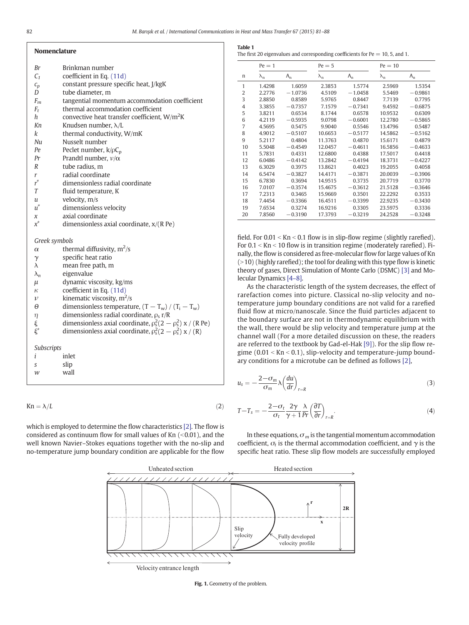Table 1

| <b>Nomenclature</b> |  |
|---------------------|--|
|---------------------|--|

<span id="page-1-0"></span>

| <b>Nomenclature</b> |                                                                   |
|---------------------|-------------------------------------------------------------------|
| Br                  | Brinkman number                                                   |
| C <sub>1</sub>      | coefficient in Eq. (11d)                                          |
| $C_p$               | constant pressure specific heat, J/kgK                            |
| D                   | tube diameter, m                                                  |
| $F_m$               | tangential momentum accommodation coefficient                     |
| $F_t$               | thermal accommodation coefficient                                 |
| h                   | convective heat transfer coefficient, W/m <sup>2</sup> K          |
| Кn                  | Knudsen number, $\lambda/L$                                       |
| k                   | thermal conductivity, W/mK                                        |
| Nu                  | Nusselt number                                                    |
| Pe                  | Peclet number, $k/\rho C_p$                                       |
| Pr                  | Prandtl number, $v/\alpha$                                        |
| R                   | tube radius, m                                                    |
| r                   | radial coordinate                                                 |
| $r^*$               | dimensionless radial coordinate                                   |
| T                   | fluid temperature, K                                              |
| u                   | velocity, m/s                                                     |
| $u^*$               | dimensionless velocity                                            |
| х                   | axial coordinate                                                  |
| $\chi^*$            | dimensionless axial coordinate, $x/(R Pe)$                        |
| Greek symbols       |                                                                   |
| $\alpha$            | thermal diffusivity, $m^2/s$                                      |
| $\gamma$            | specific heat ratio                                               |
| $\lambda$           | mean free path, m                                                 |
| $\lambda_n$         | eigenvalue                                                        |
| $\mu$               | dynamic viscosity, kg/ms                                          |
| К                   | coefficient in Eq. (11d)                                          |
| ν                   | kinematic viscosity, $m^2/s$                                      |
| $\theta$            | dimensionless temperature, $(T - T_w) / (T_i - T_w)$              |
| $\eta$              | dimensionless radial coordinate, $\rho_s$ r/R                     |
|                     | dimensionless axial coordinate, $\rho_s^2(2-\rho_s^2)$ x / (R Pe) |
| $\xi^*$             | dimensionless axial coordinate, $\rho_s^2(2-\rho_s^2)$ x / (R)    |

Subscripts

- i inlet
- s slip
- w wall

$$
Kn = \lambda/L \tag{2}
$$

which is employed to determine the flow characteristics [\[2\].](#page-7-0) The flow is considered as continuum flow for small values of Kn  $(-0.01)$ , and the well known Navier–Stokes equations together with the no-slip and no-temperature jump boundary condition are applicable for the flow

|              | $Pe = 1$    |           |             |           | $Pe = 10$   |           |  |
|--------------|-------------|-----------|-------------|-----------|-------------|-----------|--|
| n            | $\lambda_n$ | $A_n$     | $\lambda_n$ | $A_n$     | $\lambda_n$ | $A_n$     |  |
| $\mathbf{1}$ | 1.4298      | 1.6059    | 2.3853      | 1.5774    | 2.5969      | 1.5354    |  |
| 2            | 2.2776      | $-1.0736$ | 4.5109      | $-1.0458$ | 5.5469      | $-0.9861$ |  |
| 3            | 2.8850      | 0.8589    | 5.9765      | 0.8447    | 7.7139      | 0.7795    |  |
| 4            | 3.3855      | $-0.7357$ | 7.1579      | $-0.7341$ | 9.4592      | $-0.6875$ |  |
| 5            | 3.8211      | 0.6534    | 8.1744      | 0.6578    | 10.9532     | 0.6309    |  |
| 6            | 4.2119      | $-0.5935$ | 9.0798      | $-0.6001$ | 12.2780     | $-0.5865$ |  |
| 7            | 4.5695      | 0.5475    | 9.9040      | 0.5546    | 13.4796     | 0.5487    |  |
| 8            | 4.9012      | $-0.5107$ | 10.6653     | $-0.5177$ | 14.5862     | $-0.5162$ |  |
| 9            | 5.2117      | 0.4804    | 11.3763     | 0.4870    | 15.6171     | 0.4879    |  |
| 10           | 5.5048      | $-0.4549$ | 12.0457     | $-0.4611$ | 16.5856     | $-0.4633$ |  |
| 11           | 5.7831      | 0.4331    | 12.6800     | 0.4388    | 17.5017     | 0.4418    |  |
| 12           | 6.0486      | $-0.4142$ | 13.2842     | $-0.4194$ | 18.3731     | $-0.4227$ |  |
| 13           | 6.3029      | 0.3975    | 13.8621     | 0.4023    | 19.2055     | 0.4058    |  |
| 14           | 6.5474      | $-0.3827$ | 14.4171     | $-0.3871$ | 20.0039     | $-0.3906$ |  |
| 15           | 6.7830      | 0.3694    | 14.9515     | 0.3735    | 20.7719     | 0.3770    |  |
| 16           | 7.0107      | $-0.3574$ | 15.4675     | $-0.3612$ | 21.5128     | $-0.3646$ |  |
| 17           | 7.2313      | 0.3465    | 15.9669     | 0.3501    | 22.2292     | 0.3533    |  |
| 18           | 7.4454      | $-0.3366$ | 16.4511     | $-0.3399$ | 22.9235     | $-0.3430$ |  |
| 19           | 7.6534      | 0.3274    | 16.9216     | 0.3305    | 23.5975     | 0.3336    |  |
| 20           | 7.8560      | $-0.3190$ | 17.3793     | $-0.3219$ | 24.2528     | $-0.3248$ |  |

The first 20 eigenvalues and corresponding coefficients for  $Pe = 10$ , 5, and 1.

field. For  $0.01 <$  Kn  $< 0.1$  flow is in slip-flow regime (slightly rarefied). For  $0.1 <$  Kn  $<$  10 flow is in transition regime (moderately rarefied). Finally, the flow is considered as free-molecular flow for large values of Kn  $(>10)$  (highly rarefied); the tool for dealing with this type flow is kinetic theory of gases, Direct Simulation of Monte Carlo (DSMC) [\[3\]](#page-7-0) and Molecular Dynamics [\[4](#page-7-0)–8].

As the characteristic length of the system decreases, the effect of rarefaction comes into picture. Classical no-slip velocity and notemperature jump boundary conditions are not valid for a rarefied fluid flow at micro/nanoscale. Since the fluid particles adjacent to the boundary surface are not in thermodynamic equilibrium with the wall, there would be slip velocity and temperature jump at the channel wall (For a more detailed discussion on these, the readers are referred to the textbook by Gad-el-Hak [\[9\]\)](#page-7-0). For the slip flow regime ( $0.01 <$ Kn  $< 0.1$ ), slip-velocity and temperature-jump boundary conditions for a microtube can be defined as follows [\[2\],](#page-7-0)

$$
u_{s} = -\frac{2 - \sigma_{m}}{\sigma_{m}} \lambda \left(\frac{du}{dr}\right)_{r=R}
$$
\n(3)

$$
T - T_s = -\frac{2 - \sigma_t}{\sigma_t} \frac{2\gamma}{\gamma + 1} \frac{\lambda}{Pr} \left( \frac{\partial T}{\partial r} \right)_{r=R}.
$$
 (4)

In these equations,  $\sigma_m$  is the tangential momentum accommodation coefficient,  $\sigma_t$  is the thermal accommodation coefficient, and  $\gamma$  is the specific heat ratio. These slip flow models are successfully employed



Fig. 1. Geometry of the problem.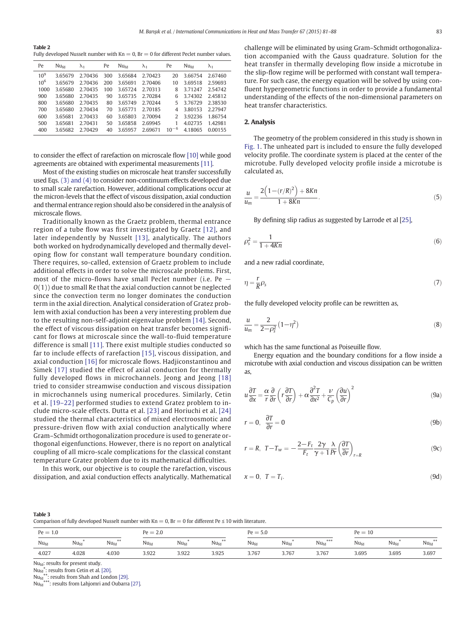<span id="page-2-0"></span>Table 2 Fully developed Nusselt number with  $Kn = 0$ ,  $Br = 0$  for different Peclet number values.

| Pe              | $Nu_{\text{fd}}$ | $\lambda_1$ | Pe  | $Nu_{\text{fd}}$ | $\lambda_1$ | Pe          | $Nu_{\text{fd}}$ | $\lambda_1$ |
|-----------------|------------------|-------------|-----|------------------|-------------|-------------|------------------|-------------|
| 10 <sup>9</sup> | 3.65679          | 2.70436     | 300 | 3.65684          | 2.70423     | 20          | 3.66754          | 2.67460     |
| $10^{6}$        | 3.65679          | 2.70436     | 200 | 3.65691          | 2.70406     | 10          | 3.69518          | 2.59693     |
| 1000            | 3.65680          | 2.70435     | 100 | 3.65724          | 2.70313     | 8           | 371247           | 2.54742     |
| 900             | 3.65680          | 2.70435     | 90  | 3.65735          | 2.70284     |             | 6 3.74302        | 2.45812     |
| 800             | 3.65680          | 2.70435     | 80  | 3.65749          | 2.70244     | 5.          | 3.76729          | 238530      |
| 700             | 3.65680          | 2.70434     | 70  | 3.65771          | 2.70185     | 4           | 3.80153          | 2.27947     |
| 600             | 3.65681          | 2.70433     | 60  | 3.65803          | 2.70094     | $2^{\circ}$ | 3.92236          | 1.86754     |
| 500             | 3.65681          | 2.70431     | 50  | 3.65858          | 2.69945     |             | 4.02735          | 142981      |
| 400             | 3.65682          | 2.70429     | 40  | 365957           | 2.69671     | $10^{-6}$   | 4.18065          | 0.00155     |

to consider the effect of rarefaction on microscale flow [\[10\]](#page-7-0) while good agreements are obtained with experimental measurements [\[11\].](#page-7-0)

Most of the existing studies on microscale heat transfer successfully used Eqs. [\(3\) and \(4\)](#page-1-0) to consider non-continuum effects developed due to small scale rarefaction. However, additional complications occur at the micron-levels that the effect of viscous dissipation, axial conduction and thermal entrance region should also be considered in the analysis of microscale flows.

Traditionally known as the Graetz problem, thermal entrance region of a tube flow was first investigated by Graetz [\[12\]](#page-7-0), and later independently by Nusselt [\[13\]](#page-7-0), analytically. The authors both worked on hydrodynamically developed and thermally developing flow for constant wall temperature boundary condition. There requires, so-called, extension of Graetz problem to include additional effects in order to solve the microscale problems. First, most of the micro-flows have small Peclet number (i.e. Pe  $O(1)$ ) due to small Re that the axial conduction cannot be neglected since the convection term no longer dominates the conduction term in the axial direction. Analytical consideration of Gratez problem with axial conduction has been a very interesting problem due to the resulting non-self-adjoint eigenvalue problem [\[14\]](#page-7-0). Second, the effect of viscous dissipation on heat transfer becomes significant for flows at microscale since the wall-to-fluid temperature difference is small [\[11\]](#page-7-0). There exist multiple studies conducted so far to include effects of rarefaction [\[15\]](#page-7-0), viscous dissipation, and axial conduction [\[16\]](#page-7-0) for microscale flows. Hadjiconstantinou and Simek [\[17\]](#page-7-0) studied the effect of axial conduction for thermally fully developed flows in microchannels. Jeong and Jeong [\[18\]](#page-7-0) tried to consider streamwise conduction and viscous dissipation in microchannels using numerical procedures. Similarly, Cetin et al. [19–[22\]](#page-7-0) performed studies to extend Gratez problem to include micro-scale effects. Dutta et al. [\[23\]](#page-7-0) and Horiuchi et al. [\[24\]](#page-7-0) studied the thermal characteristics of mixed electroosmotic and pressure-driven flow with axial conduction analytically where Gram–Schmidt orthogonalization procedure is used to generate orthogonal eigenfunctions. However, there is no report on analytical coupling of all micro-scale complications for the classical constant temperature Gratez problem due to its mathematical difficulties.

In this work, our objective is to couple the rarefaction, viscous dissipation, and axial conduction effects analytically. Mathematical

challenge will be eliminated by using Gram–Schmidt orthogonalization accompanied with the Gauss quadrature. Solution for the heat transfer in thermally developing flow inside a microtube in the slip-flow regime will be performed with constant wall temperature. For such case, the energy equation will be solved by using confluent hypergeometric functions in order to provide a fundamental understanding of the effects of the non-dimensional parameters on heat transfer characteristics.

## 2. Analysis

The geometry of the problem considered in this study is shown in [Fig. 1.](#page-1-0) The unheated part is included to ensure the fully developed velocity profile. The coordinate system is placed at the center of the microtube. Fully developed velocity profile inside a microtube is calculated as,

$$
\frac{u}{u_m} = \frac{2(1 - (r/R)^2) + 8Kn}{1 + 8Kn}.
$$
\n(5)

By defining slip radius as suggested by Larrode et al [\[25\]](#page-7-0),

$$
\rho_s^2 = \frac{1}{1 + 4Kn} \tag{6}
$$

and a new radial coordinate,

$$
\eta = \frac{r}{R}\rho_s \tag{7}
$$

the fully developed velocity profile can be rewritten as,

$$
\frac{u}{u_m} = \frac{2}{2 - \rho_s^2} \left( 1 - \eta^2 \right) \tag{8}
$$

which has the same functional as Poiseuille flow.

Energy equation and the boundary conditions for a flow inside a microtube with axial conduction and viscous dissipation can be written as,

$$
u\frac{\partial T}{\partial x} = \frac{\alpha}{r}\frac{\partial}{\partial r}\left(r\frac{\partial T}{\partial r}\right) + \alpha\frac{\partial^2 T}{\partial x^2} + \frac{\nu}{C_p}\left(\frac{\partial u}{\partial r}\right)^2\tag{9a}
$$

$$
r = 0, \quad \frac{\partial T}{\partial r} = 0 \tag{9b}
$$

$$
r = R, T - T_w = -\frac{2 - F_t}{F_t} \frac{2\gamma}{\gamma + 1} \frac{\lambda}{Pr} \left(\frac{\partial T}{\partial r}\right)_{r=R}
$$
(9c)

$$
x = 0, T = T_i. \tag{9d}
$$

Table 3

Comparison of fully developed Nusselt number with  $Kn = 0$ ,  $Br = 0$  for different Pe  $\leq 10$  with literature.

| $Pe = 1.0$       |                  | $Pe = 2.0$          |                  |                  | $Pe = 5.0$              |                  |                  | $Pe = 10$               |                  |                  |                     |
|------------------|------------------|---------------------|------------------|------------------|-------------------------|------------------|------------------|-------------------------|------------------|------------------|---------------------|
| $Nu_{\text{fd}}$ | $Nu_{\text{fd}}$ | $Nu_{\text{fd}}$ ** | $Nu_{\text{fd}}$ | $Nu_{\text{fd}}$ | $\mathrm{Nu_{fd}}^{**}$ | $Nu_{\text{fd}}$ | $Nu_{\text{fd}}$ | ***<br>$Nu_{\text{fd}}$ | $Nu_{\text{fd}}$ | $Nu_{\text{fd}}$ | $Nu_{\text{fd}}$ ** |
| 4.027            | 4.028            | 4.030               | 3.922            | 3.922            | 3.925                   | 3.767            | 3.767            | 3.767                   | 3.695            | 3.695            | 3.697               |

Nu<sub>fd</sub>: results for present study.

 $Nu<sub>fd</sub><sup>*</sup>:$  results from Cetin et al. [\[20\]](#page-7-0).

Nu<sub>fd</sub><sup>\*\*</sup>: results from Shah and London [\[29\]](#page-7-0).

Nu<sub>fd</sub> \*\*\*: results from Lahjomri and Oubarra [\[27\].](#page-7-0)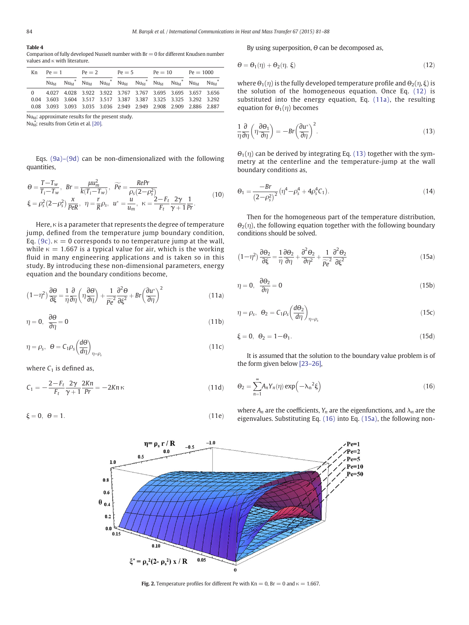### <span id="page-3-0"></span>Table 4

Comparison of fully developed Nusselt number with  $Br = 0$  for different Knudsen number values and κ with literature.

|                                                                  |                                                                                                                                                                                   | Kn $Pe=1$ $Pe=2$ $Pe=5$ |  |  |  | $Pe = 10$ $Pe = 1000$ |  |  |  |
|------------------------------------------------------------------|-----------------------------------------------------------------------------------------------------------------------------------------------------------------------------------|-------------------------|--|--|--|-----------------------|--|--|--|
|                                                                  | $Nu_{\text{fd}}$ $Nu_{\text{fd}}^*$ $Nu_{\text{fd}}$ $Nu_{\text{fd}}^*$ $Nu_{\text{fd}}$ $Nu_{\text{fd}}^*$ $Nu_{\text{fd}}$ $Nu_{\text{fd}}^*$ $Nu_{\text{fd}}$ $Nu_{\text{fd}}$ |                         |  |  |  |                       |  |  |  |
| 0 4.027 4.028 3.922 3.922 3.767 3.767 3.695 3.695 3.657 3.656    |                                                                                                                                                                                   |                         |  |  |  |                       |  |  |  |
| 0.04 3.603 3.604 3.517 3.517 3.387 3.387 3.325 3.325 3.292 3.292 |                                                                                                                                                                                   |                         |  |  |  |                       |  |  |  |
| 0.08 3.093 3.093 3.035 3.036 2.949 2.949 2.908 2.909 2.886 2.887 |                                                                                                                                                                                   |                         |  |  |  |                       |  |  |  |

 $Nu_{\text{fd}}$ : approximate results for the present study.

 $Nu<sub>fd</sub>:$  results from Cetin et al. [\[20\].](#page-7-0)

Eqs. (9a)–[\(9d\)](#page-2-0) can be non-dimensionalized with the following quantities,

$$
\Theta = \frac{T - T_w}{T_i - T_w}, \quad Br = \frac{\mu u_m^2}{k(T_i - T_w)}, \quad \widetilde{Pe} = \frac{RePr}{\rho_s (2 - \rho_s^2)}
$$
  
\n
$$
\xi = \rho_s^2 (2 - \rho_s^2) \frac{x}{PeR}, \quad \eta = \frac{r}{R} \rho_s, \quad u^* = \frac{u}{u_m}, \quad \kappa = \frac{2 - F_t}{F_t} \frac{2\gamma}{\gamma + 1} \frac{1}{Pr}.
$$
\n(10)

Here, κ is a parameter that represents the degree of temperature jump, defined from the temperature jump boundary condition, Eq. [\(9c\).](#page-2-0)  $\kappa = 0$  corresponds to no temperature jump at the wall, while  $\kappa = 1.667$  is a typical value for air, which is the working fluid in many engineering applications and is taken so in this study. By introducing these non-dimensional parameters, energy equation and the boundary conditions become,

$$
(1 - \eta^2) \frac{\partial \theta}{\partial \xi} = \frac{1}{\eta} \frac{\partial}{\partial \eta} \left( \eta \frac{\partial \theta}{\partial \eta} \right) + \frac{1}{\widetilde{P}e^2} \frac{\partial^2 \theta}{\partial \xi^2} + Br \left( \frac{\partial u^*}{\partial \eta} \right)^2 \tag{11a}
$$

$$
\eta = 0, \ \frac{\partial \Theta}{\partial \eta} = 0 \tag{11b}
$$

$$
\eta = \rho_s, \ \ \Theta = C_1 \rho_s \left(\frac{d\Theta}{d\eta}\right)_{\eta = \rho_s} \tag{11c}
$$

where  $C_1$  is defined as,

$$
C_1 = -\frac{2 - F_t}{F_t} \frac{2\gamma}{\gamma + 1} \frac{2Kn}{Pr} = -2Kn\kappa
$$
\n(11d)

$$
\xi = 0, \ \theta = 1. \tag{11e}
$$

By using superposition,  $\Theta$  can be decomposed as,

$$
\Theta = \Theta_1(\eta) + \Theta_2(\eta, \xi) \tag{12}
$$

where  $\Theta_1(\eta)$  is the fully developed temperature profile and  $\Theta_2(\eta, \xi)$  is the solution of the homogeneous equation. Once Eq. (12) is substituted into the energy equation, Eq. (11a), the resulting equation for  $\Theta_1(\eta)$  becomes

$$
\frac{1}{\eta} \frac{\partial}{\partial \eta} \left( \eta \frac{\partial \Theta_1}{\partial \eta} \right) = -Br \left( \frac{\partial u^*}{\partial \eta} \right)^2.
$$
 (13)

 $\Theta_1(\eta)$  can be derived by integrating Eq. (13) together with the symmetry at the centerline and the temperature-jump at the wall boundary conditions as,

$$
\Theta_1 = \frac{-Br}{\left(2 - \rho_s^2\right)^2} \left(\eta^4 - \rho_s^4 + 4\rho_s^4 C_1\right). \tag{14}
$$

Then for the homogeneous part of the temperature distribution,  $\Theta_2(\eta)$ , the following equation together with the following boundary conditions should be solved.

$$
(1 - \eta^2) \frac{\partial \Theta_2}{\partial \xi} = \frac{1}{\eta} \frac{\partial \Theta_2}{\partial \eta} + \frac{\partial^2 \Theta_2}{\partial \eta^2} + \frac{1}{\widetilde{P} \widetilde{e}^2} \frac{\partial^2 \Theta_2}{\partial \xi^2}
$$
(15a)

$$
\eta = 0, \quad \frac{\partial \Theta_2}{\partial \eta} = 0 \tag{15b}
$$

$$
\eta = \rho_s, \ \ \Theta_2 = C_1 \rho_s \left(\frac{d\Theta_2}{d\eta}\right)_{\eta = \rho_s} \tag{15c}
$$

$$
\xi = 0, \ \theta_2 = 1 - \theta_1. \tag{15d}
$$

It is assumed that the solution to the boundary value problem is of the form given below [23–[26\],](#page-7-0)

$$
\Theta_2 = \sum_{n=1}^{\infty} A_n Y_n(\eta) \exp\left(-\lambda_n^2 \xi\right)
$$
\n(16)

where  $A_n$  are the coefficients,  $Y_n$  are the eigenfunctions, and  $\lambda_n$  are the eigenvalues. Substituting Eq. (16) into Eq. (15a), the following non-



Fig. 2. Temperature profiles for different Pe with Kn = 0, Br = 0 and  $\kappa = 1.667$ .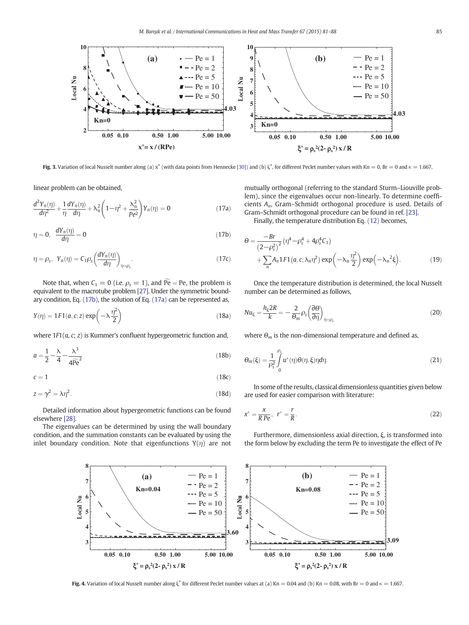<span id="page-4-0"></span>

Fig. 3. Variation of local Nusselt number along (a)  $x^*$  (with data points from Hennecke [\[30\]](#page-7-0)) and (b)  $\xi^*$ , for different Peclet number values with Kn = 0, Br = 0 and  $\kappa$  = 1.667.

linear problem can be obtained,

$$
\frac{d^2Y_n(\eta)}{d\eta^2} + \frac{1}{\eta}\frac{dY_n(\eta)}{d\eta} + \lambda_n^2 \left(1 - \eta^2 + \frac{\lambda_n^2}{\widehat{Pe^2}}\right) Y_n(\eta) = 0
$$
\n(17a)

$$
\eta = 0, \quad \frac{dY_n(\eta)}{d\eta} = 0 \tag{17b}
$$

$$
\eta = \rho_s, \ \ Y_n(\eta) = C_1 \rho_s \left( \frac{dY_n(\eta)}{d\eta} \right)_{\eta = \rho_s}.
$$
\n(17c)

Note that, when  $C_1 = 0$  (i.e.  $\rho_s = 1$ ), and  $\widetilde{Pe} = Pe$ , the problem is equivalent to the macrotube problem [\[27\]](#page-7-0). Under the symmetric boundary condition, Eq. (17b), the solution of Eq. (17a) can be represented as,

$$
Y(\eta) = 1F1(a, c; z) \exp\left(-\lambda \frac{\eta^2}{2}\right)
$$
 (18a)

where  $1F1(a, c; z)$  is Kummer's confluent hypergeometric function and,

$$
a = \frac{1}{2} - \frac{\lambda}{4} - \frac{\lambda^3}{4\widetilde{Pe}^2}
$$
 (18b)

$$
c = 1 \tag{18c}
$$

$$
z = \gamma^2 = \lambda \eta^2. \tag{18d}
$$

Detailed information about hypergeometric functions can be found elsewhere [\[28\]](#page-7-0).

The eigenvalues can be determined by using the wall boundary condition, and the summation constants can be evaluated by using the inlet boundary condition. Note that eigenfunctions  $Y(\eta)$  are not mutually orthogonal (referring to the standard Sturm–Liouville problem), since the eigenvalues occur non-linearly. To determine coefficients  $A_n$ , Gram–Schmidt orthogonal procedure is used. Details of Gram–Schmidt orthogonal procedure can be found in ref. [\[23\]](#page-7-0).

Finally, the temperature distribution Eq. [\(12\)](#page-3-0) becomes,

$$
\Theta = \frac{-Br}{\left(2 - \rho_s^2\right)^2} \left(\eta^4 - \rho_s^4 + 4\rho_s^4 C_1\right) + \sum_n A_n \left[1 \operatorname{Fl}(a, c; \lambda_n \eta^2) \exp\left(-\lambda_n \frac{\eta^2}{2}\right) \exp\left(-\lambda_n^2 \xi\right). \tag{19}
$$

Once the temperature distribution is determined, the local Nusselt number can be determined as follows,

$$
Nu_{\xi} = \frac{h_{\xi} 2R}{k} = -\frac{2}{\Theta_m} \rho_s \left(\frac{\partial \Theta}{\partial \eta}\right)_{\eta = \rho_s}
$$
(20)

where  $\Theta_m$  is the non-dimensional temperature and defined as,

$$
\Theta_m(\xi) = \frac{1}{\rho_s^2} \int_0^{\rho_s} u^*(\eta) \Theta(\eta, \xi) \eta d\eta.
$$
 (21)

In some of the results, classical dimensionless quantities given below are used for easier comparison with literature:

$$
x^* = \frac{x}{R\,Pe}, \quad r^* = \frac{r}{R}.\tag{22}
$$

Furthermore, dimensionless axial direction, ξ, is transformed into the form below by excluding the term Pe to investigate the effect of Pe



Fig. 4. Variation of local Nusselt number along ξ<sup>\*</sup> for different Peclet number values at (a) Kn = 0.04 and (b) Kn = 0.08, with Br = 0 and  $\kappa$  = 1.667.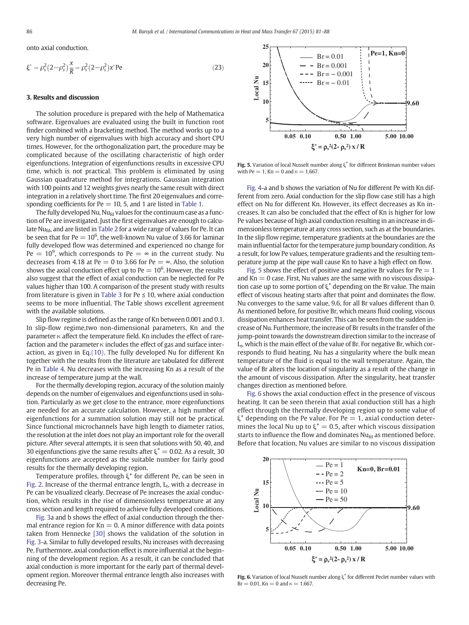onto axial conduction.

$$
\xi^* = \rho_s^2 (2 - \rho_s^2) \frac{x}{R} = \rho_s^2 (2 - \rho_s^2) x^* P e \tag{23}
$$

#### 3. Results and discussion

The solution procedure is prepared with the help of Mathematica software. Eigenvalues are evaluated using the built in function root finder combined with a bracketing method. The method works up to a very high number of eigenvalues with high accuracy and short CPU times. However, for the orthogonalization part, the procedure may be complicated because of the oscillating characteristic of high order eigenfunctions. Integration of eigenfunctions results in excessive CPU time, which is not practical. This problem is eliminated by using Gaussian quadrature method for integrations. Gaussian integration with 100 points and 12 weights gives nearly the same result with direct integration in a relatively short time. The first 20 eigenvalues and corresponding coefficients for  $Pe = 10, 5$ , and 1 are listed in [Table 1.](#page-1-0)

The fully developed Nu, Nu $_{fd}$  values for the continuum case as a function of Pe are investigated. Just the first eigenvalues are enough to calculate Nu $_{\text{fd}}$ , and are listed in [Table 2](#page-2-0) for a wide range of values for Pe. It can be seen that for Pe  $=10^6$ , the well-known Nu value of 3.66 for laminar fully developed flow was determined and experienced no change for  $Pe = 10^9$ , which corresponds to Pe =  $\infty$  in the current study. Nu decreases from 4.18 at Pe = 0 to 3.66 for Pe =  $\infty$ . Also, the solution shows the axial conduction effect up to  $Pe = 10<sup>6</sup>$ . However, the results also suggest that the effect of axial conduction can be neglected for Pe values higher than 100. A comparison of the present study with results from literature is given in [Table 3](#page-2-0) for Pe  $\leq$  10, where axial conduction seems to be more influential. The Table shows excellent agreement with the available solutions.

Slip flow regime is defined as the range of Kn between 0.001 and 0.1. In slip-flow regime,two non-dimensional parameters, Kn and the parameter κ affect the temperature field. Kn includes the effect of rarefaction and the parameter κ includes the effect of gas and surface interaction, as given in Eq.[\(10\)](#page-3-0). The fully developed Nu for different Kn together with the results from the literature are tabulated for different Pe in [Table 4](#page-3-0). Nu decreases with the increasing Kn as a result of the increase of temperature jump at the wall.

For the thermally developing region, accuracy of the solution mainly depends on the number of eigenvalues and eigenfunctions used in solution. Particularly as we get close to the entrance, more eigenfunctions are needed for an accurate calculation. However, a high number of eigenfunctions for a summation solution may still not be practical. Since functional microchannels have high length to diameter ratios, the resolution at the inlet does not play an important role for the overall picture. After several attempts, it is seen that solutions with 50, 40, and 30 eigenfunctions give the same results after  $\xi^* = 0.02$ . As a result, 30 eigenfunctions are accepted as the suitable number for fairly good results for the thermally developing region.

Temperature profiles, through ξ\* for different Pe, can be seen in [Fig. 2](#page-3-0). Increase of the thermal entrance length,  $L_t$ , with a decrease in Pe can be visualized clearly. Decrease of Pe increases the axial conduction, which results in the rise of dimensionless temperature at any cross section and length required to achieve fully developed conditions.

[Fig. 3](#page-4-0)a and b shows the effect of axial conduction through the thermal entrance region for  $Kn = 0$ . A minor difference with data points taken from Hennecke [\[30\]](#page-7-0) shows the validation of the solution in [Fig. 3](#page-4-0)-a. Similar to fully developed results, Nu increases with decreasing Pe. Furthermore, axial conduction effect is more influential at the beginning of the development region. As a result, it can be concluded that axial conduction is more important for the early part of thermal development region. Moreover thermal entrance length also increases with decreasing Pe.



Fig. 5. Variation of local Nusselt number along ξ<sup>\*</sup> for different Brinkman number values with Pe = 1, Kn = 0 and  $\kappa$  = 1.667.

[Fig. 4](#page-4-0)-a and b shows the variation of Nu for different Pe with Kn different from zero. Axial conduction for the slip flow case still has a high effect on Nu for different Kn. However, its effect decreases as Kn increases. It can also be concluded that the effect of Kn is higher for low Pe values because of high axial conduction resulting in an increase in dimensionless temperature at any cross section, such as at the boundaries. In the slip flow regime, temperature gradients at the boundaries are the main influential factor for the temperature jump boundary condition. As a result, for low Pe values, temperature gradients and the resulting temperature jump at the pipe wall cause Kn to have a high effect on flow.

Fig. 5 shows the effect of positive and negative Br values for  $Pe = 1$ and  $Kn = 0$  case. First, Nu values are the same with no viscous dissipation case up to some portion of  $\xi^*$  depending on the Br value. The main effect of viscous heating starts after that point and dominates the flow. Nu converges to the same value, 9.6, for all Br values different than 0. As mentioned before, for positive Br, which means fluid cooling, viscous dissipation enhances heat transfer. This can be seen from the sudden increase of Nu. Furthermore, the increase of Br results in the transfer of the jump-point towards the downstream direction similar to the increase of  $L_t$ , which is the main effect of the value of Br. For negative Br, which corresponds to fluid heating, Nu has a singularity where the bulk mean temperature of the fluid is equal to the wall temperature. Again, the value of Br alters the location of singularity as a result of the change in the amount of viscous dissipation. After the singularity, heat transfer changes direction as mentioned before.

Fig. 6 shows the axial conduction effect in the presence of viscous heating. It can be seen therein that axial conduction still has a high effect through the thermally developing region up to some value of  $\xi^*$  depending on the Pe value. For Pe = 1, axial conduction determines the local Nu up to  $\xi^* = 0.5$ , after which viscous dissipation starts to influence the flow and dominates  $Nu_{fd}$  as mentioned before. Before that location, Nu values are similar to no viscous dissipation



Fig. 6. Variation of local Nusselt number along  $\xi^*$  for different Peclet number values with  $Br = 0.01$ ,  $Kn = 0$  and  $\kappa = 1.667$ .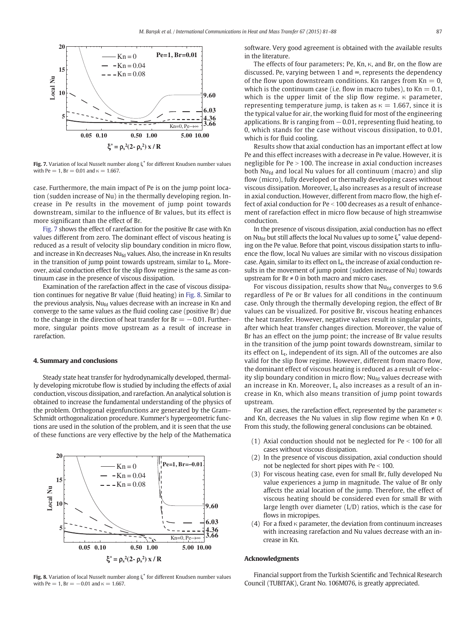

Fig. 7. Variation of local Nusselt number along  $\xi^*$  for different Knudsen number values with Pe = 1, Br = 0.01 and  $\kappa$  = 1.667.

case. Furthermore, the main impact of Pe is on the jump point location (sudden increase of Nu) in the thermally developing region. Increase in Pe results in the movement of jump point towards downstream, similar to the influence of Br values, but its effect is more significant than the effect of Br.

Fig. 7 shows the effect of rarefaction for the positive Br case with Kn values different from zero. The dominant effect of viscous heating is reduced as a result of velocity slip boundary condition in micro flow, and increase in Kn decreases  $Nu<sub>fd</sub>$  values. Also, the increase in Kn results in the transition of jump point towards upstream, similar to  $L_t$ . Moreover, axial conduction effect for the slip flow regime is the same as continuum case in the presence of viscous dissipation.

Examination of the rarefaction affect in the case of viscous dissipation continues for negative Br value (fluid heating) in Fig. 8. Similar to the previous analysis,  $Nu<sub>fd</sub>$  values decrease with an increase in Kn and converge to the same values as the fluid cooling case (positive Br) due to the change in the direction of heat transfer for  $Br = -0.01$ . Furthermore, singular points move upstream as a result of increase in rarefaction.

#### 4. Summary and conclusions

Steady state heat transfer for hydrodynamically developed, thermally developing microtube flow is studied by including the effects of axial conduction, viscous dissipation, and rarefaction. An analytical solution is obtained to increase the fundamental understanding of the physics of the problem. Orthogonal eigenfunctions are generated by the Gram– Schmidt orthogonalization procedure. Kummer's hypergeometric functions are used in the solution of the problem, and it is seen that the use of these functions are very effective by the help of the Mathematica



Fig. 8. Variation of local Nusselt number along  $\xi^*$  for different Knudsen number values with Pe = 1, Br =  $-0.01$  and  $\kappa$  = 1.667.

software. Very good agreement is obtained with the available results in the literature.

The effects of four parameters; Pe, Kn, κ, and Br, on the flow are discussed. Pe, varying between 1 and ∞, represents the dependency of the flow upon downstream conditions. Kn ranges from  $Kn = 0$ , which is the continuum case (i.e. flow in macro tubes), to  $Kn = 0.1$ , which is the upper limit of the slip flow regime. κ parameter, representing temperature jump, is taken as  $\kappa = 1.667$ , since it is the typical value for air, the working fluid for most of the engineering applications. Br is ranging from  $-0.01$ , representing fluid heating, to 0, which stands for the case without viscous dissipation, to 0.01, which is for fluid cooling.

Results show that axial conduction has an important effect at low Pe and this effect increases with a decrease in Pe value. However, it is negligible for  $Pe > 100$ . The increase in axial conduction increases both Nu $_{\text{fd}}$  and local Nu values for all continuum (macro) and slip flow (micro), fully developed or thermally developing cases without viscous dissipation. Moreover, L. also increases as a result of increase in axial conduction. However, different from macro flow, the high effect of axial conduction for  $Pe < 100$  decreases as a result of enhancement of rarefaction effect in micro flow because of high streamwise conduction.

In the presence of viscous dissipation, axial conduction has no effect on Nu<sub>fd</sub> but still affects the local Nu values up to some  $\xi^*$  value depending on the Pe value. Before that point, viscous dissipation starts to influence the flow, local Nu values are similar with no viscous dissipation case. Again, similar to its effect on  $L_t$ , the increase of axial conduction results in the movement of jump point (sudden increase of Nu) towards upstream for  $Br \neq 0$  in both macro and micro cases.

For viscous dissipation, results show that  $Nu_{fd}$  converges to 9.6 regardless of Pe or Br values for all conditions in the continuum case. Only through the thermally developing region, the effect of Br values can be visualized. For positive Br, viscous heating enhances the heat transfer. However, negative values result in singular points, after which heat transfer changes direction. Moreover, the value of Br has an effect on the jump point; the increase of Br value results in the transition of the jump point towards downstream, similar to its effect on  $L_t$ , independent of its sign. All of the outcomes are also valid for the slip flow regime. However, different from macro flow, the dominant effect of viscous heating is reduced as a result of velocity slip boundary condition in micro flow; Nufd values decrease with an increase in Kn. Moreover,  $L_t$  also increases as a result of an increase in Kn, which also means transition of jump point towards upstream.

For all cases, the rarefaction effect, represented by the parameter κ and Kn, decreases the Nu values in slip flow regime when  $Kn \neq 0$ . From this study, the following general conclusions can be obtained.

- (1) Axial conduction should not be neglected for  $Pe < 100$  for all cases without viscous dissipation.
- (2) In the presence of viscous dissipation, axial conduction should not be neglected for short pipes with  $Pe < 100$ .
- (3) For viscous heating case, even for small Br, fully developed Nu value experiences a jump in magnitude. The value of Br only affects the axial location of the jump. Therefore, the effect of viscous heating should be considered even for small Br with large length over diameter (L/D) ratios, which is the case for flows in micropipes.
- (4) For a fixed  $\kappa$  parameter, the deviation from continuum increases with increasing rarefaction and Nu values decrease with an increase in Kn.

# Acknowledgments

Financial support from the Turkish Scientific and Technical Research Council (TUBITAK), Grant No. 106M076, is greatly appreciated.